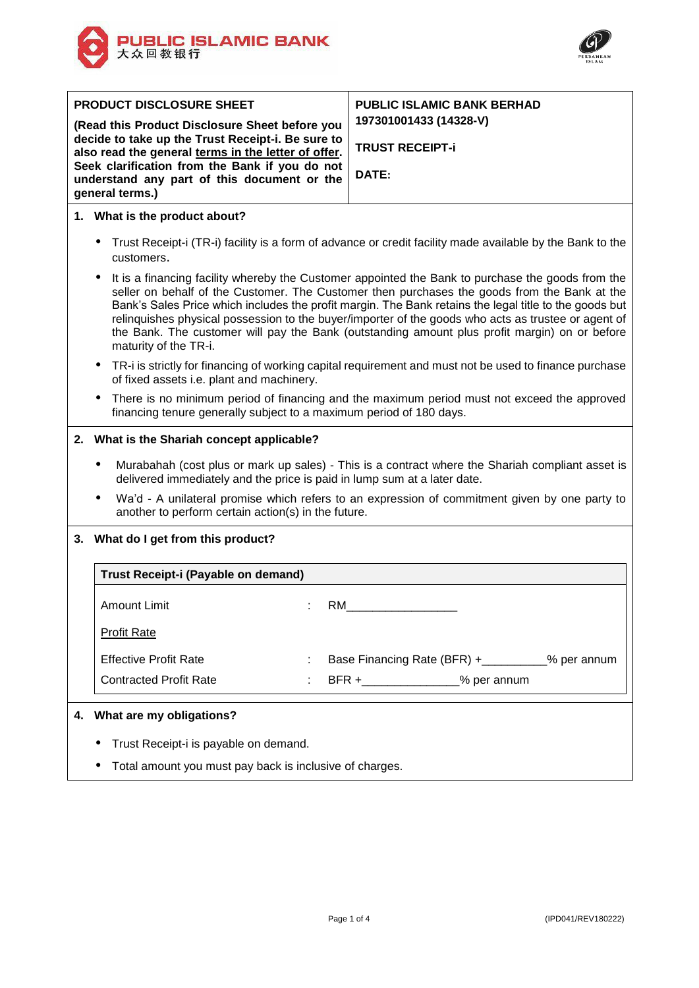



| <b>PRODUCT DISCLOSURE SHEET</b><br>(Read this Product Disclosure Sheet before you<br>decide to take up the Trust Receipt-i. Be sure to<br>also read the general terms in the letter of offer.<br>Seek clarification from the Bank if you do not<br>understand any part of this document or the<br>general terms.)                                                                                                                                                                                                                            | <b>PUBLIC ISLAMIC BANK BERHAD</b><br>197301001433 (14328-V)<br><b>TRUST RECEIPT-i</b><br>DATE: |  |  |  |
|----------------------------------------------------------------------------------------------------------------------------------------------------------------------------------------------------------------------------------------------------------------------------------------------------------------------------------------------------------------------------------------------------------------------------------------------------------------------------------------------------------------------------------------------|------------------------------------------------------------------------------------------------|--|--|--|
| 1. What is the product about?                                                                                                                                                                                                                                                                                                                                                                                                                                                                                                                |                                                                                                |  |  |  |
| Trust Receipt-i (TR-i) facility is a form of advance or credit facility made available by the Bank to the<br>٠<br>customers.                                                                                                                                                                                                                                                                                                                                                                                                                 |                                                                                                |  |  |  |
| It is a financing facility whereby the Customer appointed the Bank to purchase the goods from the<br>seller on behalf of the Customer. The Customer then purchases the goods from the Bank at the<br>Bank's Sales Price which includes the profit margin. The Bank retains the legal title to the goods but<br>relinguishes physical possession to the buyer/importer of the goods who acts as trustee or agent of<br>the Bank. The customer will pay the Bank (outstanding amount plus profit margin) on or before<br>maturity of the TR-i. |                                                                                                |  |  |  |
| TR-i is strictly for financing of working capital requirement and must not be used to finance purchase<br>٠<br>of fixed assets i.e. plant and machinery.                                                                                                                                                                                                                                                                                                                                                                                     |                                                                                                |  |  |  |
| There is no minimum period of financing and the maximum period must not exceed the approved<br>٠<br>financing tenure generally subject to a maximum period of 180 days.                                                                                                                                                                                                                                                                                                                                                                      |                                                                                                |  |  |  |
| 2. What is the Shariah concept applicable?                                                                                                                                                                                                                                                                                                                                                                                                                                                                                                   |                                                                                                |  |  |  |
| Murabahah (cost plus or mark up sales) - This is a contract where the Shariah compliant asset is<br>٠<br>delivered immediately and the price is paid in lump sum at a later date.                                                                                                                                                                                                                                                                                                                                                            |                                                                                                |  |  |  |
| Wa'd - A unilateral promise which refers to an expression of commitment given by one party to<br>٠<br>another to perform certain action(s) in the future.                                                                                                                                                                                                                                                                                                                                                                                    |                                                                                                |  |  |  |
| 3. What do I get from this product?                                                                                                                                                                                                                                                                                                                                                                                                                                                                                                          |                                                                                                |  |  |  |
| Trust Receipt-i (Payable on demand)                                                                                                                                                                                                                                                                                                                                                                                                                                                                                                          |                                                                                                |  |  |  |
| <b>Amount Limit</b>                                                                                                                                                                                                                                                                                                                                                                                                                                                                                                                          | RM                                                                                             |  |  |  |
| <b>Profit Rate</b>                                                                                                                                                                                                                                                                                                                                                                                                                                                                                                                           |                                                                                                |  |  |  |
| <b>Effective Profit Rate</b>                                                                                                                                                                                                                                                                                                                                                                                                                                                                                                                 | Base Financing Rate (BFR) + _________% per annum                                               |  |  |  |
| <b>Contracted Profit Rate</b>                                                                                                                                                                                                                                                                                                                                                                                                                                                                                                                | BFR +_________________% per annum                                                              |  |  |  |
| What are my obligations?<br>4.                                                                                                                                                                                                                                                                                                                                                                                                                                                                                                               |                                                                                                |  |  |  |
| Trust Receipt-i is payable on demand.                                                                                                                                                                                                                                                                                                                                                                                                                                                                                                        |                                                                                                |  |  |  |
| Total amount you must pay back is inclusive of charges.                                                                                                                                                                                                                                                                                                                                                                                                                                                                                      |                                                                                                |  |  |  |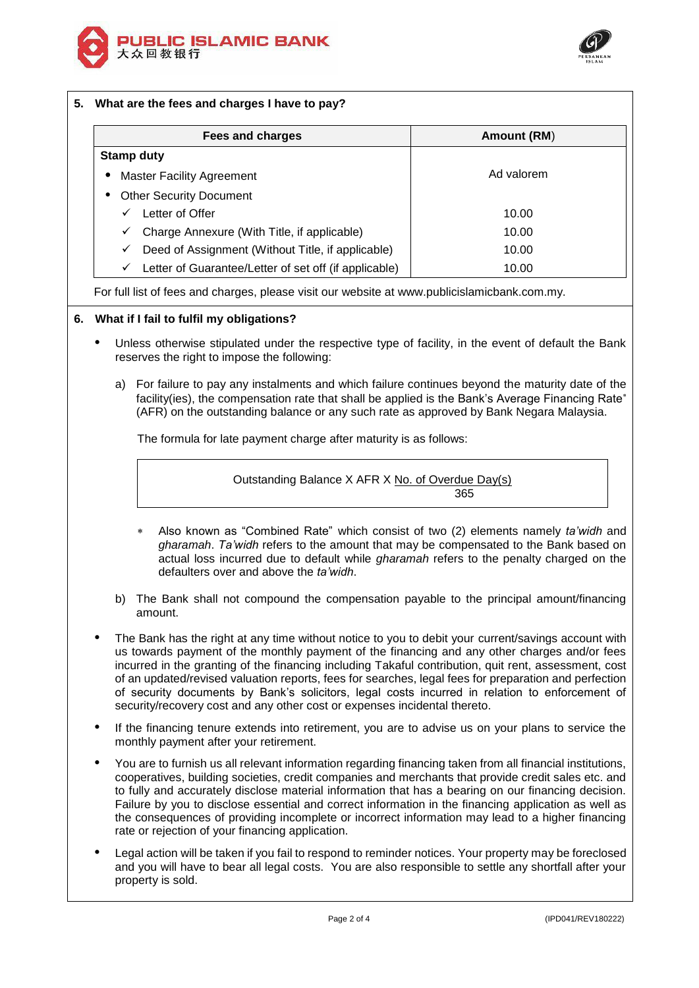



# **5. What are the fees and charges I have to pay?**

| Fees and charges                                           | Amount (RM) |
|------------------------------------------------------------|-------------|
| <b>Stamp duty</b>                                          |             |
| <b>Master Facility Agreement</b><br>٠                      | Ad valorem  |
| <b>Other Security Document</b>                             |             |
| Letter of Offer<br>✓                                       | 10.00       |
| Charge Annexure (With Title, if applicable)<br>✓           | 10.00       |
| Deed of Assignment (Without Title, if applicable)<br>✓     | 10.00       |
| Letter of Guarantee/Letter of set off (if applicable)<br>✓ | 10.00       |

For full list of fees and charges, please visit our website at www.publicislamicbank.com.my.

### **6. What if I fail to fulfil my obligations?**

- Unless otherwise stipulated under the respective type of facility, in the event of default the Bank reserves the right to impose the following:
	- a) For failure to pay any instalments and which failure continues beyond the maturity date of the facility(ies), the compensation rate that shall be applied is the Bank's Average Financing Rate (AFR) on the outstanding balance or any such rate as approved by Bank Negara Malaysia.

The formula for late payment charge after maturity is as follows:

Outstanding Balance X AFR X No. of Overdue Day(s) 365

- Also known as "Combined Rate" which consist of two (2) elements namely *ta'widh* and *gharamah*. *Ta'widh* refers to the amount that may be compensated to the Bank based on actual loss incurred due to default while *gharamah* refers to the penalty charged on the defaulters over and above the *ta'widh*.
- b) The Bank shall not compound the compensation payable to the principal amount/financing amount.
- The Bank has the right at any time without notice to you to debit your current/savings account with us towards payment of the monthly payment of the financing and any other charges and/or fees incurred in the granting of the financing including Takaful contribution, quit rent, assessment, cost of an updated/revised valuation reports, fees for searches, legal fees for preparation and perfection of security documents by Bank's solicitors, legal costs incurred in relation to enforcement of security/recovery cost and any other cost or expenses incidental thereto.
- If the financing tenure extends into retirement, you are to advise us on your plans to service the monthly payment after your retirement.
- You are to furnish us all relevant information regarding financing taken from all financial institutions, cooperatives, building societies, credit companies and merchants that provide credit sales etc. and to fully and accurately disclose material information that has a bearing on our financing decision. Failure by you to disclose essential and correct information in the financing application as well as the consequences of providing incomplete or incorrect information may lead to a higher financing rate or rejection of your financing application.
- Legal action will be taken if you fail to respond to reminder notices. Your property may be foreclosed and you will have to bear all legal costs. You are also responsible to settle any shortfall after your property is sold.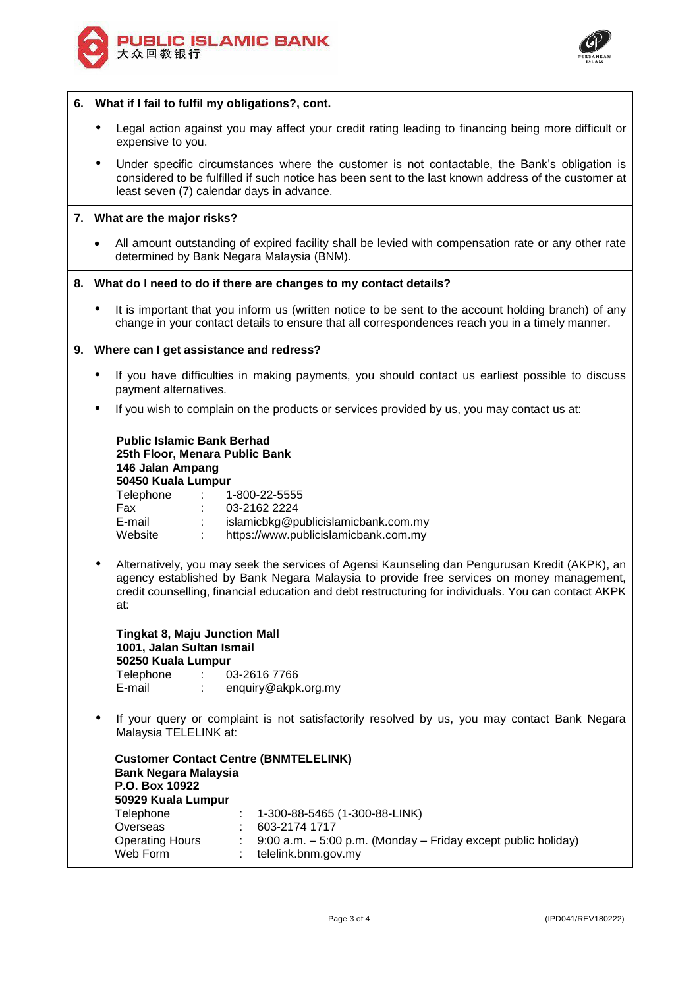



#### **6. What if I fail to fulfil my obligations?, cont.**

- Legal action against you may affect your credit rating leading to financing being more difficult or expensive to you.
- Under specific circumstances where the customer is not contactable, the Bank's obligation is considered to be fulfilled if such notice has been sent to the last known address of the customer at least seven (7) calendar days in advance.

## **7. What are the major risks?**

 All amount outstanding of expired facility shall be levied with compensation rate or any other rate determined by Bank Negara Malaysia (BNM).

#### **8. What do I need to do if there are changes to my contact details?**

 It is important that you inform us (written notice to be sent to the account holding branch) of any change in your contact details to ensure that all correspondences reach you in a timely manner.

#### **9. Where can I get assistance and redress?**

- If you have difficulties in making payments, you should contact us earliest possible to discuss payment alternatives.
- If you wish to complain on the products or services provided by us, you may contact us at:

**Public Islamic Bank Berhad 25th Floor, Menara Public Bank 146 Jalan Ampang 50450 Kuala Lumpur** Telephone : 1-800-22-5555 Fax : 03-2162 2224 E-mail : islamicbkg@publicislamicbank.com.my<br>Website : https://www.publicislamicbank.com.my : https://www.publicislamicbank.com.my

 Alternatively, you may seek the services of Agensi Kaunseling dan Pengurusan Kredit (AKPK), an agency established by Bank Negara Malaysia to provide free services on money management, credit counselling, financial education and debt restructuring for individuals. You can contact AKPK at:

**Tingkat 8, Maju Junction Mall 1001, Jalan Sultan Ismail 50250 Kuala Lumpur** Telephone : 03-2616 7766 E-mail : enquiry@akpk.org.my

 If your query or complaint is not satisfactorily resolved by us, you may contact Bank Negara Malaysia TELELINK at:

| <b>Customer Contact Centre (BNMTELELINK)</b><br><b>Bank Negara Malaysia</b><br>P.O. Box 10922<br>50929 Kuala Lumpur |                                                                    |
|---------------------------------------------------------------------------------------------------------------------|--------------------------------------------------------------------|
| Telephone                                                                                                           | $: 1-300-88-5465(1-300-88-LINK)$                                   |
| Overseas                                                                                                            | 603-2174 1717                                                      |
| <b>Operating Hours</b>                                                                                              | $9:00$ a.m. $-5:00$ p.m. (Monday $-$ Friday except public holiday) |
| Web Form                                                                                                            | telelink.bnm.gov.my                                                |